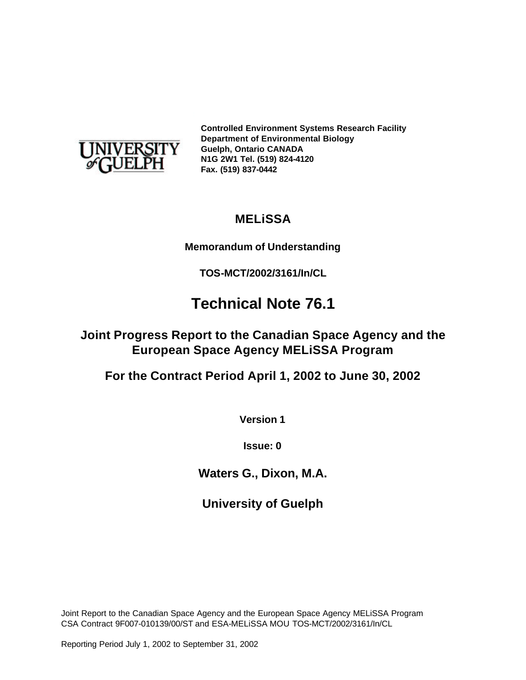

**Controlled Environment Systems Research Facility Department of Environmental Biology Guelph, Ontario CANADA N1G 2W1 Tel. (519) 824-4120 Fax. (519) 837-0442**

## **MELiSSA**

#### **Memorandum of Understanding**

**TOS-MCT/2002/3161/In/CL**

# **Technical Note 76.1**

## **Joint Progress Report to the Canadian Space Agency and the European Space Agency MELiSSA Program**

**For the Contract Period April 1, 2002 to June 30, 2002**

**Version 1**

**Issue: 0**

**Waters G., Dixon, M.A.**

**University of Guelph**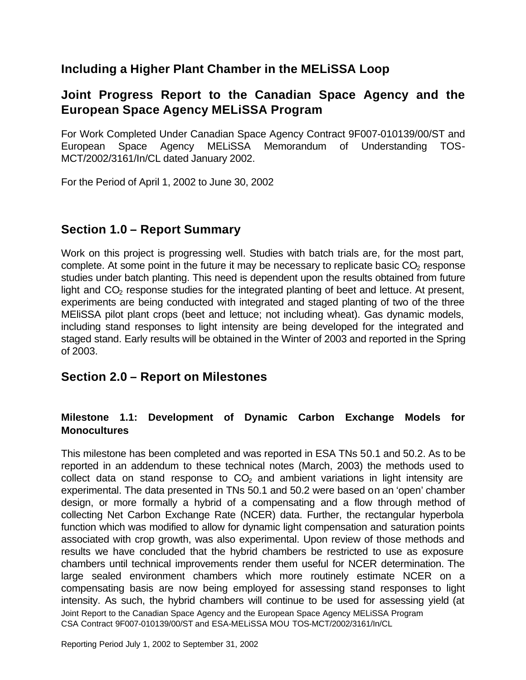## **Including a Higher Plant Chamber in the MELiSSA Loop**

## **Joint Progress Report to the Canadian Space Agency and the European Space Agency MELiSSA Program**

For Work Completed Under Canadian Space Agency Contract 9F007-010139/00/ST and European Space Agency MELiSSA Memorandum of Understanding TOS-MCT/2002/3161/In/CL dated January 2002.

For the Period of April 1, 2002 to June 30, 2002

## **Section 1.0 – Report Summary**

Work on this project is progressing well. Studies with batch trials are, for the most part, complete. At some point in the future it may be necessary to replicate basic  $CO<sub>2</sub>$  response studies under batch planting. This need is dependent upon the results obtained from future light and  $CO<sub>2</sub>$  response studies for the integrated planting of beet and lettuce. At present, experiments are being conducted with integrated and staged planting of two of the three MEliSSA pilot plant crops (beet and lettuce; not including wheat). Gas dynamic models, including stand responses to light intensity are being developed for the integrated and staged stand. Early results will be obtained in the Winter of 2003 and reported in the Spring of 2003.

#### **Section 2.0 – Report on Milestones**

#### **Milestone 1.1: Development of Dynamic Carbon Exchange Models for Monocultures**

Joint Report to the Canadian Space Agency and the European Space Agency MELiSSA Program CSA Contract 9F007-010139/00/ST and ESA-MELiSSA MOU TOS-MCT/2002/3161/In/CL This milestone has been completed and was reported in ESA TNs 50.1 and 50.2. As to be reported in an addendum to these technical notes (March, 2003) the methods used to collect data on stand response to  $CO<sub>2</sub>$  and ambient variations in light intensity are experimental. The data presented in TNs 50.1 and 50.2 were based on an 'open' chamber design, or more formally a hybrid of a compensating and a flow through method of collecting Net Carbon Exchange Rate (NCER) data. Further, the rectangular hyperbola function which was modified to allow for dynamic light compensation and saturation points associated with crop growth, was also experimental. Upon review of those methods and results we have concluded that the hybrid chambers be restricted to use as exposure chambers until technical improvements render them useful for NCER determination. The large sealed environment chambers which more routinely estimate NCER on a compensating basis are now being employed for assessing stand responses to light intensity. As such, the hybrid chambers will continue to be used for assessing yield (at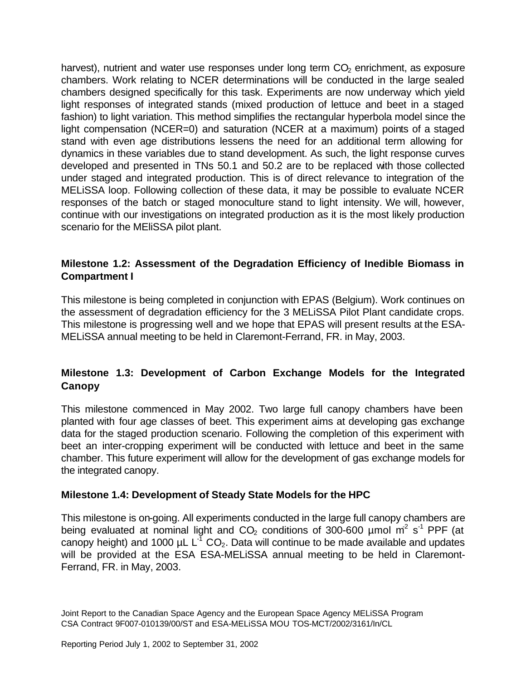harvest), nutrient and water use responses under long term  $CO<sub>2</sub>$  enrichment, as exposure chambers. Work relating to NCER determinations will be conducted in the large sealed chambers designed specifically for this task. Experiments are now underway which yield light responses of integrated stands (mixed production of lettuce and beet in a staged fashion) to light variation. This method simplifies the rectangular hyperbola model since the light compensation (NCER=0) and saturation (NCER at a maximum) points of a staged stand with even age distributions lessens the need for an additional term allowing for dynamics in these variables due to stand development. As such, the light response curves developed and presented in TNs 50.1 and 50.2 are to be replaced with those collected under staged and integrated production. This is of direct relevance to integration of the MELiSSA loop. Following collection of these data, it may be possible to evaluate NCER responses of the batch or staged monoculture stand to light intensity. We will, however, continue with our investigations on integrated production as it is the most likely production scenario for the MEliSSA pilot plant.

#### **Milestone 1.2: Assessment of the Degradation Efficiency of Inedible Biomass in Compartment I**

This milestone is being completed in conjunction with EPAS (Belgium). Work continues on the assessment of degradation efficiency for the 3 MELiSSA Pilot Plant candidate crops. This milestone is progressing well and we hope that EPAS will present results at the ESA-MELiSSA annual meeting to be held in Claremont-Ferrand, FR. in May, 2003.

#### **Milestone 1.3: Development of Carbon Exchange Models for the Integrated Canopy**

This milestone commenced in May 2002. Two large full canopy chambers have been planted with four age classes of beet. This experiment aims at developing gas exchange data for the staged production scenario. Following the completion of this experiment with beet an inter-cropping experiment will be conducted with lettuce and beet in the same chamber. This future experiment will allow for the development of gas exchange models for the integrated canopy.

#### **Milestone 1.4: Development of Steady State Models for the HPC**

This milestone is on-going. All experiments conducted in the large full canopy chambers are being evaluated at nominal light and  $CO<sub>2</sub>$  conditions of 300-600 µmol m<sup>2</sup> s<sup>-1</sup> PPF (at canopy height) and 1000  $\mu$ L L<sup>-T</sup> CO<sub>2</sub>. Data will continue to be made available and updates will be provided at the ESA ESA-MELiSSA annual meeting to be held in Claremont-Ferrand, FR. in May, 2003.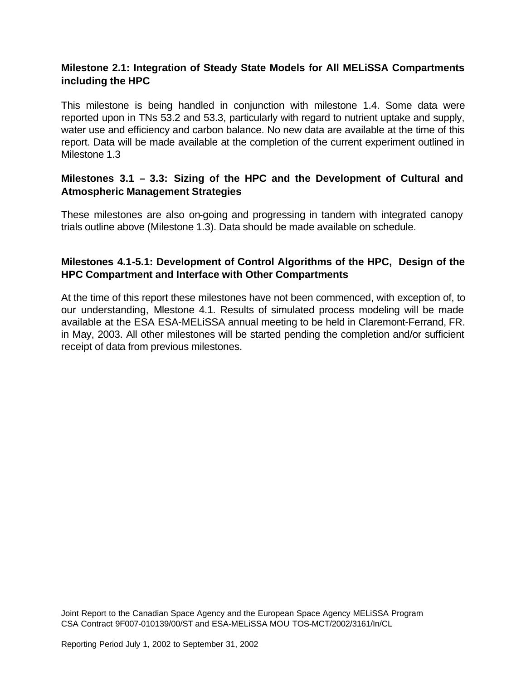#### **Milestone 2.1: Integration of Steady State Models for All MELiSSA Compartments including the HPC**

This milestone is being handled in conjunction with milestone 1.4. Some data were reported upon in TNs 53.2 and 53.3, particularly with regard to nutrient uptake and supply, water use and efficiency and carbon balance. No new data are available at the time of this report. Data will be made available at the completion of the current experiment outlined in Milestone 1.3

#### **Milestones 3.1 – 3.3: Sizing of the HPC and the Development of Cultural and Atmospheric Management Strategies**

These milestones are also on-going and progressing in tandem with integrated canopy trials outline above (Milestone 1.3). Data should be made available on schedule.

#### **Milestones 4.1-5.1: Development of Control Algorithms of the HPC, Design of the HPC Compartment and Interface with Other Compartments**

At the time of this report these milestones have not been commenced, with exception of, to our understanding, Miestone 4.1. Results of simulated process modeling will be made available at the ESA ESA-MELiSSA annual meeting to be held in Claremont-Ferrand, FR. in May, 2003. All other milestones will be started pending the completion and/or sufficient receipt of data from previous milestones.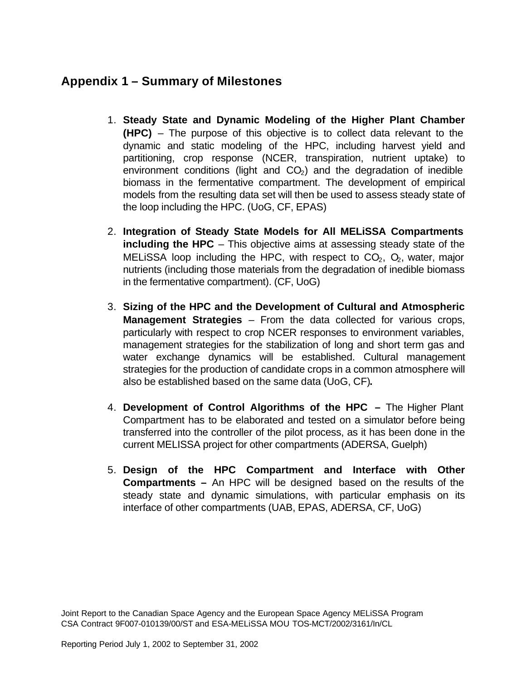## **Appendix 1 – Summary of Milestones**

- 1. **Steady State and Dynamic Modeling of the Higher Plant Chamber (HPC)** – The purpose of this objective is to collect data relevant to the dynamic and static modeling of the HPC, including harvest yield and partitioning, crop response (NCER, transpiration, nutrient uptake) to environment conditions (light and  $CO<sub>2</sub>$ ) and the degradation of inedible biomass in the fermentative compartment. The development of empirical models from the resulting data set will then be used to assess steady state of the loop including the HPC. (UoG, CF, EPAS)
- 2. **Integration of Steady State Models for All MELiSSA Compartments including the HPC** – This objective aims at assessing steady state of the MELISSA loop including the HPC, with respect to  $CO<sub>2</sub>$ ,  $O<sub>2</sub>$ , water, major nutrients (including those materials from the degradation of inedible biomass in the fermentative compartment). (CF, UoG)
- 3. **Sizing of the HPC and the Development of Cultural and Atmospheric Management Strategies** – From the data collected for various crops, particularly with respect to crop NCER responses to environment variables, management strategies for the stabilization of long and short term gas and water exchange dynamics will be established. Cultural management strategies for the production of candidate crops in a common atmosphere will also be established based on the same data (UoG, CF)**.**
- 4. **Development of Control Algorithms of the HPC –** The Higher Plant Compartment has to be elaborated and tested on a simulator before being transferred into the controller of the pilot process, as it has been done in the current MELISSA project for other compartments (ADERSA, Guelph)
- 5. **Design of the HPC Compartment and Interface with Other Compartments –** An HPC will be designed based on the results of the steady state and dynamic simulations, with particular emphasis on its interface of other compartments (UAB, EPAS, ADERSA, CF, UoG)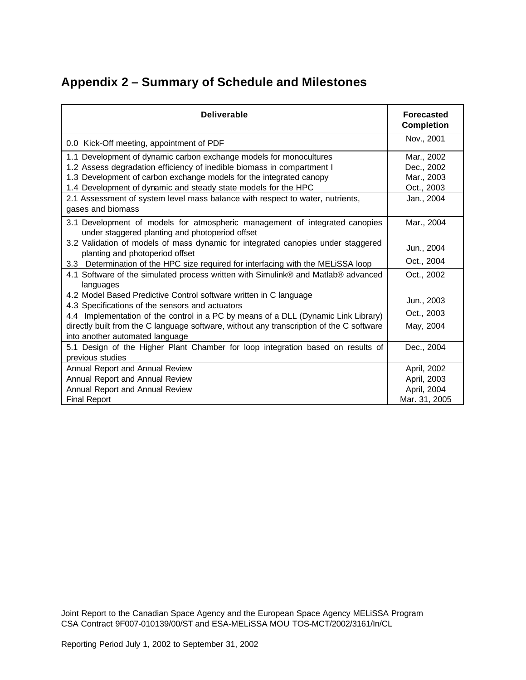## **Appendix 2 – Summary of Schedule and Milestones**

| <b>Deliverable</b>                                                                                                             | <b>Forecasted</b><br><b>Completion</b> |  |  |
|--------------------------------------------------------------------------------------------------------------------------------|----------------------------------------|--|--|
| 0.0 Kick-Off meeting, appointment of PDF                                                                                       | Nov., 2001                             |  |  |
| 1.1 Development of dynamic carbon exchange models for monocultures                                                             | Mar., 2002                             |  |  |
| 1.2 Assess degradation efficiency of inedible biomass in compartment I                                                         | Dec., 2002                             |  |  |
| 1.3 Development of carbon exchange models for the integrated canopy                                                            | Mar., 2003                             |  |  |
| 1.4 Development of dynamic and steady state models for the HPC                                                                 | Oct., 2003                             |  |  |
| 2.1 Assessment of system level mass balance with respect to water, nutrients,<br>gases and biomass                             | Jan., 2004                             |  |  |
| 3.1 Development of models for atmospheric management of integrated canopies<br>under staggered planting and photoperiod offset | Mar., 2004                             |  |  |
| 3.2 Validation of models of mass dynamic for integrated canopies under staggered<br>planting and photoperiod offset            | Jun., 2004                             |  |  |
| 3.3 Determination of the HPC size required for interfacing with the MELiSSA loop                                               | Oct., 2004                             |  |  |
| 4.1 Software of the simulated process written with Simulink® and Matlab® advanced<br>languages                                 | Oct., 2002                             |  |  |
| 4.2 Model Based Predictive Control software written in C language<br>4.3 Specifications of the sensors and actuators           | Jun., 2003                             |  |  |
| 4.4 Implementation of the control in a PC by means of a DLL (Dynamic Link Library)                                             | Oct., 2003                             |  |  |
| directly built from the C language software, without any transcription of the C software<br>into another automated language    | May, 2004                              |  |  |
| 5.1 Design of the Higher Plant Chamber for loop integration based on results of<br>previous studies                            | Dec., 2004                             |  |  |
| Annual Report and Annual Review                                                                                                | April, 2002                            |  |  |
| Annual Report and Annual Review                                                                                                | April, 2003                            |  |  |
| Annual Report and Annual Review                                                                                                | April, 2004                            |  |  |
| <b>Final Report</b>                                                                                                            | Mar. 31, 2005                          |  |  |